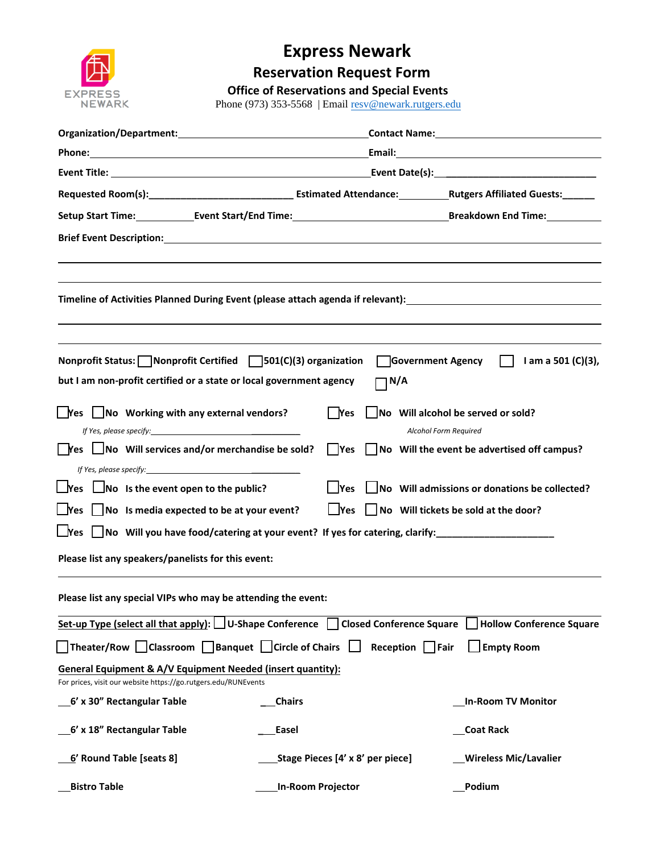

## **Express Newark**

**Reservation Request Form**

## **Office of Reservations and Special Events**

Phone (973) 353-5568 | Email resv@n[ewark.rutgers.edu](mailto:resv@newark.rutgers.edu)

|                                                                                                                                                                   | Email: 2008 2009 2010 2021 2022 2023 2024 2022 2022 2023 2024 2022 2023 2024 2022 2023 2024 2022 2023 2024 20 |                       |                                                               |
|-------------------------------------------------------------------------------------------------------------------------------------------------------------------|---------------------------------------------------------------------------------------------------------------|-----------------------|---------------------------------------------------------------|
|                                                                                                                                                                   |                                                                                                               |                       |                                                               |
|                                                                                                                                                                   |                                                                                                               |                       |                                                               |
|                                                                                                                                                                   |                                                                                                               |                       |                                                               |
|                                                                                                                                                                   |                                                                                                               |                       |                                                               |
|                                                                                                                                                                   |                                                                                                               |                       |                                                               |
|                                                                                                                                                                   |                                                                                                               |                       |                                                               |
|                                                                                                                                                                   |                                                                                                               |                       |                                                               |
|                                                                                                                                                                   |                                                                                                               |                       |                                                               |
|                                                                                                                                                                   |                                                                                                               |                       |                                                               |
| Nonprofit Status: Nonprofit Certified $\Box$ 501(C)(3) organization<br>Government Agency     am a 501 (C)(3),                                                     |                                                                                                               |                       |                                                               |
| but I am non-profit certified or a state or local government agency<br>$\Box$ N/A                                                                                 |                                                                                                               |                       |                                                               |
| $\sqrt{\frac{1}{100}}$ No Working with any external vendors?                                                                                                      | l lYes                                                                                                        |                       | $\Box$ No Will alcohol be served or sold?                     |
|                                                                                                                                                                   |                                                                                                               | Alcohol Form Required |                                                               |
| $\Box$ Yes $\Box$ No Will services and/or merchandise be sold?                                                                                                    |                                                                                                               |                       | $\Box$ Yes $\Box$ No Will the event be advertised off campus? |
| If Yes, please specify:                                                                                                                                           |                                                                                                               |                       |                                                               |
| $\Box$ Yes $\Box$ No Is the event open to the public?                                                                                                             | Yes                                                                                                           |                       | $\Box$ No Will admissions or donations be collected?          |
| $\Box$ Yes $\Box$ No Is media expected to be at your event?<br>$\Box$ Yes $\Box$ No Will tickets be sold at the door?                                             |                                                                                                               |                       |                                                               |
| △ Yes △ No Will you have food/catering at your event? If yes for catering, clarify: △ No Will you have food/catering at your event? If yes for catering, clarify: |                                                                                                               |                       |                                                               |
| Please list any speakers/panelists for this event:                                                                                                                |                                                                                                               |                       |                                                               |
|                                                                                                                                                                   |                                                                                                               |                       |                                                               |
| Please list any special VIPs who may be attending the event:                                                                                                      |                                                                                                               |                       |                                                               |
| Set-up Type (select all that apply): $\Box$ U-Shape Conference     Closed Conference Square<br><b>Hollow Conference Square</b>                                    |                                                                                                               |                       |                                                               |
| Theater/Row $\Box$ Classroom $\Box$ Banquet $\Box$ Circle of Chairs $\Box$ Reception $\Box$ Fair<br><b>Empty Room</b>                                             |                                                                                                               |                       |                                                               |
| General Equipment & A/V Equipment Needed (insert quantity):<br>For prices, visit our website https://go.rutgers.edu/RUNEvents                                     |                                                                                                               |                       |                                                               |
| 6' x 30" Rectangular Table                                                                                                                                        | <b>Chairs</b>                                                                                                 |                       | In-Room TV Monitor                                            |
| 6' x 18" Rectangular Table                                                                                                                                        | Easel                                                                                                         |                       | <b>Coat Rack</b>                                              |
| 6' Round Table [seats 8]                                                                                                                                          | Stage Pieces [4' x 8' per piece]                                                                              |                       | <b>Wireless Mic/Lavalier</b>                                  |
| <b>Bistro Table</b>                                                                                                                                               | In-Room Projector                                                                                             |                       | Podium                                                        |